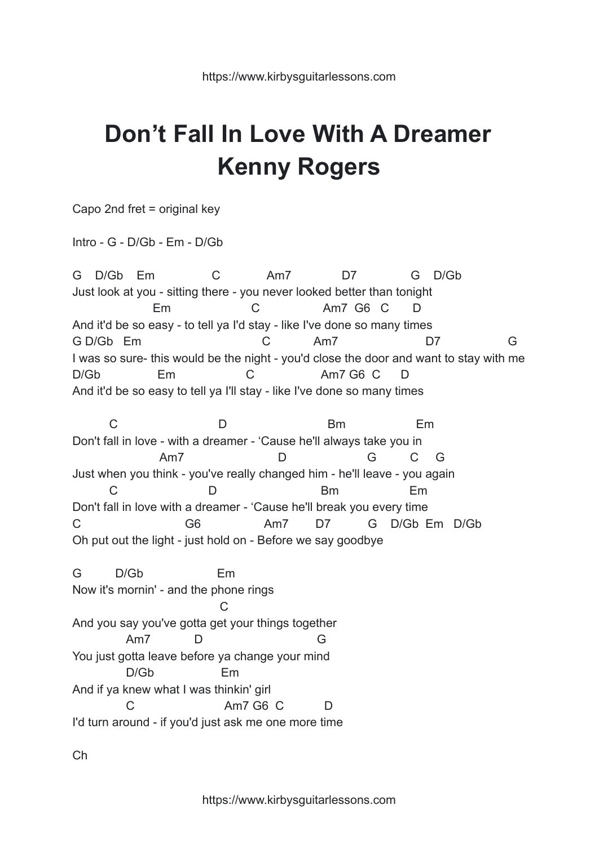## **Don't Fall In Love With A Dreamer Kenny Rogers**

Capo 2nd fret = original key

Intro - G - D/Gb - Em - D/Gb

G D/Gb Em C Am7 D7 G D/Gb Just look at you - sitting there - you never looked better than tonight Em C Am7 G6 C D And it'd be so easy - to tell ya I'd stay - like I've done so many times G D/Gb Em C Am7 D7 G I was so sure- this would be the night - you'd close the door and want to stay with me D/Gb Em C Am7 G6 C D And it'd be so easy to tell ya I'll stay - like I've done so many times

C D Bm Em Don't fall in love - with a dreamer - 'Cause he'll always take you in Am7 D G C G Just when you think - you've really changed him - he'll leave - you again C D Bm Em Don't fall in love with a dreamer - 'Cause he'll break you every time C G6 Am7 D7 G D/Gb Em D/Gb Oh put out the light - just hold on - Before we say goodbye

G D/Gb Em Now it's mornin' - and the phone rings C And you say you've gotta get your things together Am7 D G You just gotta leave before ya change your mind D/Gb Em And if ya knew what I was thinkin' girl C Am7 G6 C D I'd turn around - if you'd just ask me one more time

Ch